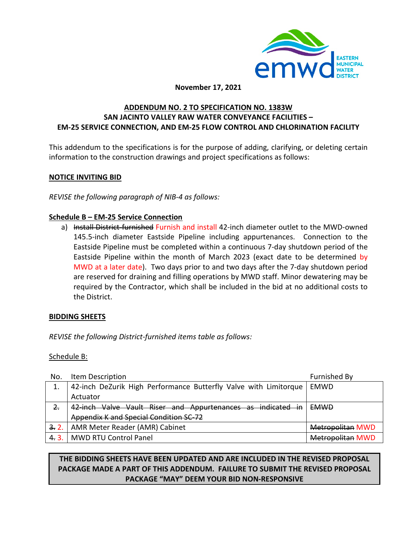

### **November 17, 2021**

# **ADDENDUM NO. 2 TO SPECIFICATION NO. 1383W SAN JACINTO VALLEY RAW WATER CONVEYANCE FACILITIES – EM-25 SERVICE CONNECTION, AND EM-25 FLOW CONTROL AND CHLORINATION FACILITY**

This addendum to the specifications is for the purpose of adding, clarifying, or deleting certain information to the construction drawings and project specifications as follows:

### **NOTICE INVITING BID**

*REVISE the following paragraph of NIB-4 as follows:* 

# **Schedule B – EM-25 Service Connection**

a) Install District furnished Furnish and install 42-inch diameter outlet to the MWD-owned 145.5-inch diameter Eastside Pipeline including appurtenances. Connection to the Eastside Pipeline must be completed within a continuous 7-day shutdown period of the Eastside Pipeline within the month of March 2023 (exact date to be determined by MWD at a later date). Two days prior to and two days after the 7-day shutdown period are reserved for draining and filling operations by MWD staff. Minor dewatering may be required by the Contractor, which shall be included in the bid at no additional costs to the District.

# **BIDDING SHEETS**

*REVISE the following District-furnished items table as follows:*

### Schedule B:

| No.            | Item Description                                                 | Furnished By            |
|----------------|------------------------------------------------------------------|-------------------------|
|                | 42-inch DeZurik High Performance Butterfly Valve with Limitorque | EMWD                    |
|                | Actuator                                                         |                         |
| $\overline{z}$ | 42 inch Valve Vault Riser and Appurtenances as indicated in      | <b>EMWD</b>             |
|                | Appendix K and Special Condition SC-72                           |                         |
| 3.2.           | AMR Meter Reader (AMR) Cabinet                                   | <b>Metropolitan MWD</b> |
| 4.3.           | <b>MWD RTU Control Panel</b>                                     | <b>Metropolitan MWD</b> |

# **THE BIDDING SHEETS HAVE BEEN UPDATED AND ARE INCLUDED IN THE REVISED PROPOSAL PACKAGE MADE A PART OF THIS ADDENDUM. FAILURE TO SUBMIT THE REVISED PROPOSAL PACKAGE "MAY" DEEM YOUR BID NON-RESPONSIVE**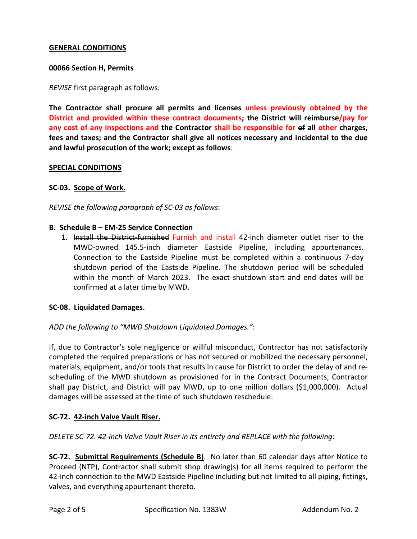# **GENERAL CONDITIONS**

### **00066 Section H, Permits**

*REVISE* first paragraph as follows:

**The Contractor shall procure all permits and licenses unless previously obtained by the District and provided within these contract documents; the District will reimburse/pay for any cost of any inspections and the Contractor shall be responsible for of all other charges, fees and taxes; and the Contractor shall give all notices necessary and incidental to the due and lawful prosecution of the work; except as follows**:

### **SPECIAL CONDITIONS**

### **SC-03. Scope of Work.**

*REVISE the following paragraph of SC-03 as follows*:

#### **B. Schedule B – EM-25 Service Connection**

1. Install the District-furnished Furnish and install 42-inch diameter outlet riser to the MWD-owned 145.5-inch diameter Eastside Pipeline, including appurtenances. Connection to the Eastside Pipeline must be completed within a continuous 7-day shutdown period of the Eastside Pipeline. The shutdown period will be scheduled within the month of March 2023. The exact shutdown start and end dates will be confirmed at a later time by MWD.

### **SC-08. Liquidated Damages.**

*ADD the following to "MWD Shutdown Liquidated Damages."*:

If, due to Contractor's sole negligence or willful misconduct, Contractor has not satisfactorily completed the required preparations or has not secured or mobilized the necessary personnel, materials, equipment, and/or tools that results in cause for District to order the delay of and rescheduling of the MWD shutdown as provisioned for in the Contract Documents, Contractor shall pay District, and District will pay MWD, up to one million dollars (\$1,000,000). Actual damages will be assessed at the time of such shutdown reschedule.

### **SC-72. 42-inch Valve Vault Riser.**

*DELETE SC-72. 42-inch Valve Vault Riser in its entirety and REPLACE with the following*:

**SC-72. Submittal Requirements (Schedule B)**. No later than 60 calendar days after Notice to Proceed (NTP), Contractor shall submit shop drawing(s) for all items required to perform the 42-inch connection to the MWD Eastside Pipeline including but not limited to all piping, fittings, valves, and everything appurtenant thereto.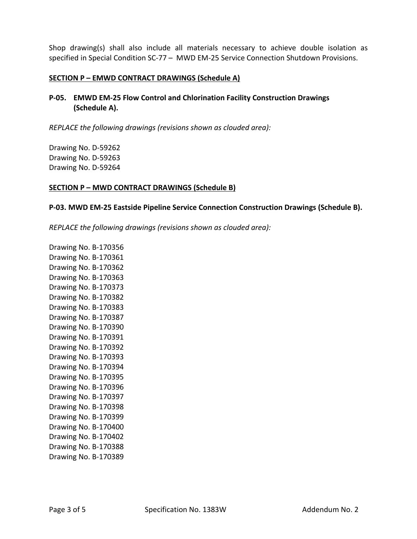Shop drawing(s) shall also include all materials necessary to achieve double isolation as specified in Special Condition SC-77 – MWD EM-25 Service Connection Shutdown Provisions.

#### **SECTION P – EMWD CONTRACT DRAWINGS (Schedule A)**

**P-05. EMWD EM-25 Flow Control and Chlorination Facility Construction Drawings (Schedule A).**

*REPLACE the following drawings (revisions shown as clouded area):*

Drawing No. D-59262 Drawing No. D-59263 Drawing No. D-59264

#### **SECTION P – MWD CONTRACT DRAWINGS (Schedule B)**

#### **P-03. MWD EM-25 Eastside Pipeline Service Connection Construction Drawings (Schedule B).**

*REPLACE the following drawings (revisions shown as clouded area):*

Drawing No. B-170356 Drawing No. B-170361 Drawing No. B-170362 Drawing No. B-170363 Drawing No. B-170373 Drawing No. B-170382 Drawing No. B-170383 Drawing No. B-170387 Drawing No. B-170390 Drawing No. B-170391 Drawing No. B-170392 Drawing No. B-170393 Drawing No. B-170394 Drawing No. B-170395 Drawing No. B-170396 Drawing No. B-170397 Drawing No. B-170398 Drawing No. B-170399 Drawing No. B-170400 Drawing No. B-170402 Drawing No. B-170388 Drawing No. B-170389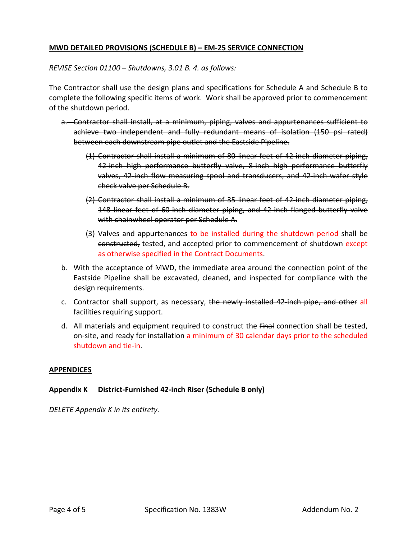# **MWD DETAILED PROVISIONS (SCHEDULE B) – EM-25 SERVICE CONNECTION**

*REVISE Section 01100 – Shutdowns, 3.01 B. 4. as follows:*

The Contractor shall use the design plans and specifications for Schedule A and Schedule B to complete the following specific items of work. Work shall be approved prior to commencement of the shutdown period.

- a. Contractor shall install, at a minimum, piping, valves and appurtenances sufficient to achieve two independent and fully redundant means of isolation (150 psi rated) between each downstream pipe outlet and the Eastside Pipeline.
	- (1) Contractor shall install a minimum of 80 linear feet of 42-inch diameter piping, 42-inch high performance butterfly valve, 8-inch high performance butterfly valves, 42-inch flow measuring spool and transducers, and 42-inch wafer style check valve per Schedule B.
	- (2) Contractor shall install a minimum of 35 linear feet of 42-inch diameter piping, 148 linear feet of 60-inch diameter piping, and 42-inch flanged butterfly valve with chainwheel operator per Schedule A.
	- (3) Valves and appurtenances to be installed during the shutdown period shall be constructed, tested, and accepted prior to commencement of shutdown except as otherwise specified in the Contract Documents.
- b. With the acceptance of MWD, the immediate area around the connection point of the Eastside Pipeline shall be excavated, cleaned, and inspected for compliance with the design requirements.
- c. Contractor shall support, as necessary, the newly installed 42-inch pipe, and other all facilities requiring support.
- d. All materials and equipment required to construct the final connection shall be tested, on-site, and ready for installation a minimum of 30 calendar days prior to the scheduled shutdown and tie-in.

### **APPENDICES**

### **Appendix K District-Furnished 42-inch Riser (Schedule B only)**

*DELETE Appendix K in its entirety.*